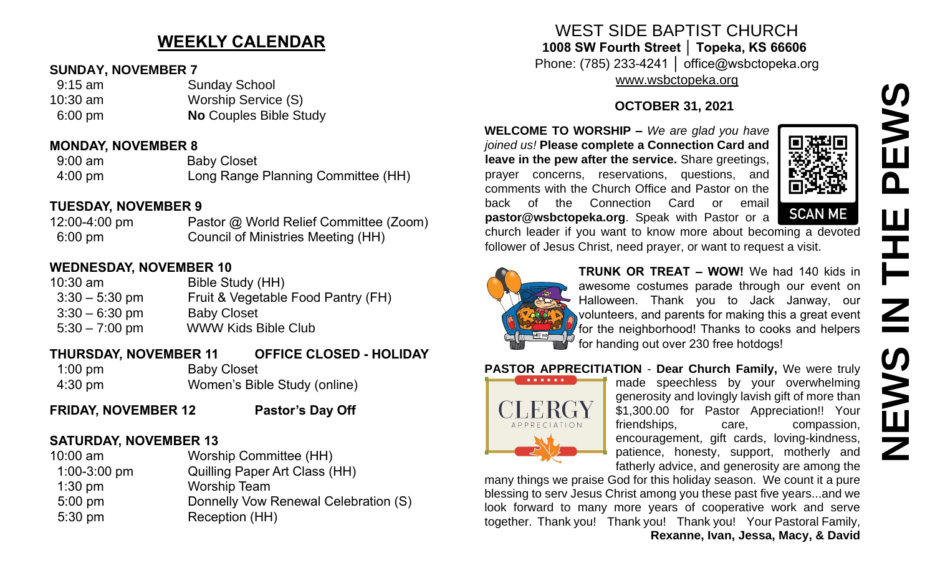# **NEWS IN THE PEWSNSWE**  $\mathbf{\Omega}$ HH<br>N<br>N **SNEWS**

### **WEEKLY CALENDAR**

#### **SUNDAY, NOVEMBER 7**

| $9:15$ am | <b>Sunday School</b>          |
|-----------|-------------------------------|
| 10:30 am  | Worship Service (S)           |
| $6:00$ pm | <b>No Couples Bible Study</b> |

#### **MONDAY, NOVEMBER 8**

| $9:00$ am         | <b>Baby Closet</b>                 |
|-------------------|------------------------------------|
| $4:00 \text{ pm}$ | Long Range Planning Committee (HH) |

#### **TUESDAY, NOVEMBER 9**

12:00-4:00 pm Pastor @ World Relief Committee (Zoom) 6:00 pm Council of Ministries Meeting (HH)

#### **WEDNESDAY, NOVEMBER 10**

10:30 am Bible Study (HH) 3:30 – 5:30 pm Fruit & Vegetable Food Pantry (FH) 3:30 – 6:30 pm Baby Closet 5:30 – 7:00 pm WWW Kids Bible Club

#### **THURSDAY, NOVEMBER 11 OFFICE CLOSED - HOLIDAY** 1:00 pm Baby Closet

- 4:30 pm Women's Bible Study (online)
- **FRIDAY, NOVEMBER 12 Pastor's Day Off**

#### **SATURDAY, NOVEMBER 13**

| $10:00$ am       | <b>Worship Committee (HH)</b>        |
|------------------|--------------------------------------|
| $1:00 - 3:00$ pm | <b>Quilling Paper Art Class (HH)</b> |
| $1:30$ pm        | <b>Worship Team</b>                  |
| $5:00$ pm        | Donnelly Vow Renewal Celebration (S) |
| $5:30$ pm        | Reception (HH)                       |

#### WEST SIDE BAPTIST CHURCH **1008 SW Fourth Street │ Topeka, KS 66606** Phone: (785) 233-4241 │ office@wsbctopeka.org

[www.wsbctopeka.org](http://www.wsbctopeka.org/)

#### **OCTOBER 31, 2021**

**WELCOME TO WORSHIP –** *We are glad you have joined us!* **Please complete a Connection Card and leave in the pew after the service.** Share greetings, prayer concerns, reservations, questions, and comments with the Church Office and Pastor on the back of the Connection Card or email **pastor@wsbctopeka.org**. [Sp](https://www.facebook.com/ivangreuter.)eak with Pastor or a



**SCAN ME** 

church leader if you want to know more about becoming a devoted follower of Jesus Christ, need prayer, or want to request a visit.



**TRUNK OR TREAT – WOW!** We had 140 kids in awesome costumes parade through our event on Halloween. Thank you to Jack Janway, our volunteers, and parents for making this a great event for the neighborhood! Thanks to cooks and helpers for handing out over 230 free hotdogs!

#### **PASTOR APPRECITIATION** - **Dear Church Family,** We were truly



made speechless by your overwhelming generosity and lovingly lavish gift of more than \$1,300.00 for Pastor Appreciation!! Your friendships, care, compassion, encouragement, gift cards, loving-kindness, patience, honesty, support, motherly and fatherly advice, and generosity are among the

many things we praise God for this holiday season. We count it a pure blessing to serv Jesus Christ among you these past five years...and we look forward to many more years of cooperative work and serve together. Thank you! Thank you! Thank you! Your Pastoral Family, **Rexanne, Ivan, Jessa, Macy, & David**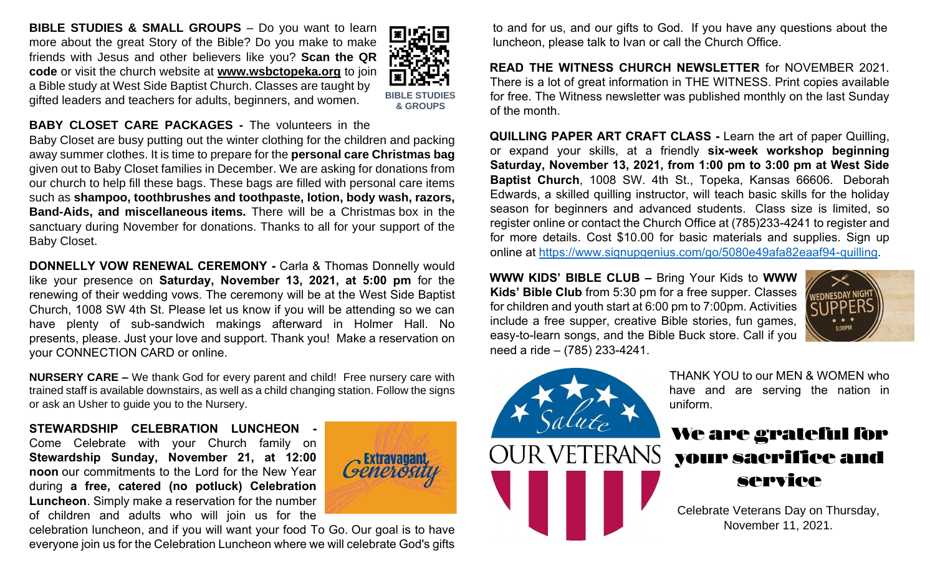**BIBLE STUDIES & SMALL GROUPS – Do you want to learn** more about the great Story of the Bible? Do you make to make friends with Jesus and other believers like you? **Scan the QR code** or visit the church website at **www.wsbctopeka.org** to join a Bible study at West Side Baptist Church. Classes are taught by gifted leaders and teachers for adults, beginners, and women.



#### **BABY CLOSET CARE PACKAGES -** The volunteers in the

Baby Closet are busy putting out the winter clothing for the children and packing away summer clothes. It is time to prepare for the **personal care Christmas bag** given out to Baby Closet families in December. We are asking for donations from our church to help fill these bags. These bags are filled with personal care items such as **shampoo, toothbrushes and toothpaste, lotion, body wash, razors, Band-Aids, and miscellaneous items.** There will be a Christmas box in the sanctuary during November for donations. Thanks to all for your support of the Baby Closet.

**DONNELLY VOW RENEWAL CEREMONY -** Carla & Thomas Donnelly would like your presence on **Saturday, November 13, 2021, at 5:00 pm** for the renewing of their wedding vows. The ceremony will be at the West Side Baptist Church, 1008 SW 4th St. Please let us know if you will be attending so we can have plenty of sub-sandwich makings afterward in Holmer Hall. No presents, please. Just your love and support. Thank you! Make a reservation on your CONNECTION CARD or online.

**NURSERY CARE –** We thank God for every parent and child! Free nursery care with trained staff is available downstairs, as well as a child changing station. Follow the signs or ask an Usher to guide you to the Nursery.

**STEWARDSHIP CELEBRATION LUNCHEON -** Come Celebrate with your Church family on **Stewardship Sunday, November 21, at 12:00 noon** our commitments to the Lord for the New Year during **a free, catered (no potluck) Celebration Luncheon**. Simply make a reservation for the number of children and adults who will join us for the



celebration luncheon, and if you will want your food To Go. Our goal is to have everyone join us for the Celebration Luncheon where we will celebrate God's gifts to and for us, and our gifts to God. If you have any questions about the luncheon, please talk to Ivan or call the Church Office.

**READ THE WITNESS CHURCH NEWSLETTER** for NOVEMBER 2021. There is a lot of great information in THE WITNESS. Print copies available for free. The Witness newsletter was published monthly on the last Sunday of the month.

**QUILLING PAPER ART CRAFT CLASS -** Learn the art of paper Quilling, or expand your skills, at a friendly **six-week workshop beginning Saturday, November 13, 2021, from 1:00 pm to 3:00 pm at West Side Baptist Church**, 1008 SW. 4th St., Topeka, Kansas 66606. Deborah Edwards, a skilled quilling instructor, will teach basic skills for the holiday season for beginners and advanced students. Class size is limited, so register online or contact the Church Office at (785)233-4241 to register and for more details. Cost \$10.00 for basic materials and supplies. Sign up online at [https://www.signupgenius.com/go/5080e49afa82eaaf94-quilling.](https://www.signupgenius.com/go/5080e49afa82eaaf94-quilling)

**WWW KIDS' BIBLE CLUB –** Bring Your Kids to **WWW Kids' Bible Club** from 5:30 pm for a free supper. Classes for children and youth start at 6:00 pm to 7:00pm. Activities include a free supper, creative Bible stories, fun games, easy-to-learn songs, and the Bible Buck store. Call if you need a ride – (785) 233-4241.





THANK YOU to our MEN & WOMEN who have and are serving the nation in uniform.

## We are grateful for your sacrifice and service

Celebrate Veterans Day on Thursday, November 11, 2021.